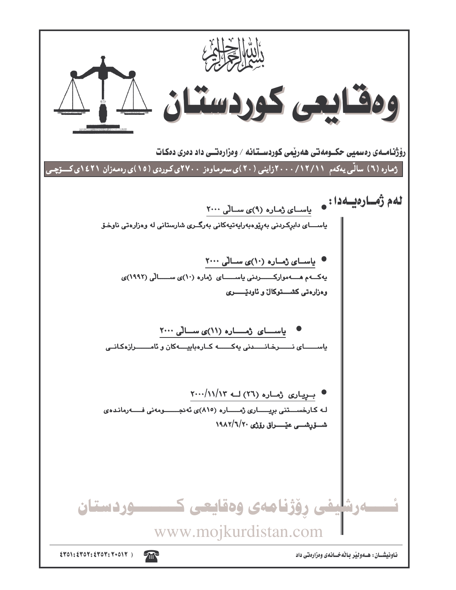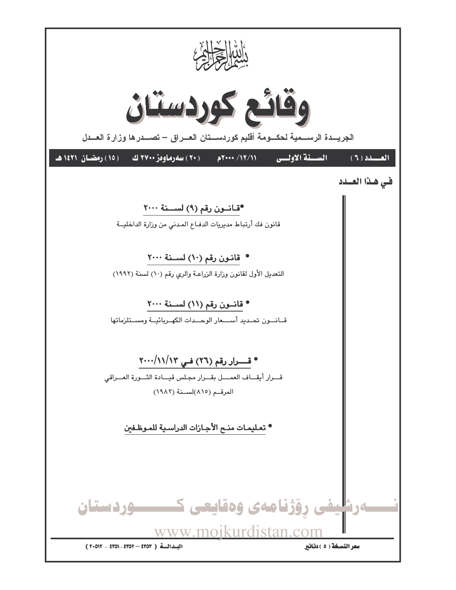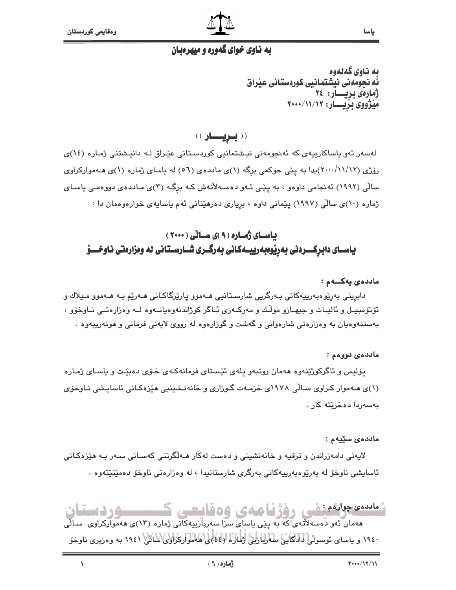

#### په ناوي خواي گهوره و ميهرويان

ىە ناوي گەنەوە فّه نجومهنى نيشتمانيى كوردستانى عيّراق ژمارەي بريسسار: ۲٤ میژووی بریـــار: ۲۰۰۰/۱۱/۱۲

((بلويسساو))

لەسەر ئەو ياساكارىيەى كە ئەنجومەنى نيشتمانيى كوردسىتانى عيّراق لـە دانيشتنى ژمـارە (١٤)ى رۆژى (١٢/١/١٢)يدا به يێي حوكمي برگه (١)ي ماددهي (٥٦) له ياساي ژماره (١)ي هــهمواركراوي سالی (۱۹۹۲) ئەنجامی داوەو ، بە پێی ئـەو دەسـەلأتەش کـە برگـە (۳)ی مـاددەی دووەمـی ياسـای ژماره (۱۰)ی سالّی (۱۹۹۷) پیّمانی داوه ، برِیاری دهرهیدانی ئهم یاسایهی خوارهوهمان دا :

### باسای ژماره (۹)ی سالی (۲۰۰۰) یاســای دابرکــــردنی بهرێوەبەرییــهکانی بەرگــری شــارســتانی له وەزارەتی نـاوخــــۆ

#### ماددەي يەكـــەم :

دابريني بەرێوەبەرييەكانى بـەرگريى شارسـتانيى ھـﻪموو يارێزگاكـانى ھـﻪرێم بـﻪ ھـﻪموو مـيلاك و ئۆتۆمبيــل و ئاليــات و جيهــازو مولّـك و مەركــەزى ئــاگر كوژاندنەوەيانــەوە لــه وەزارەتــى نــاوخۆو ، بهستنهوهيان به وهزارهتي شارهواني و گهشت و گوزارهوه له رووي لايهني فرماني و هونهرييهوه .

#### ماددە*ى* دووەم :

پۆلیس و ئاگرکوژێنەوە ھەمان روتبەو پلەي ئێستاي فرمانەکـەي خـۆي دەبێت و پاسـاي ژمـارە (۱)ی هـهموار کـراوی سـالّی ۱۹۷۸ی خزمـهت گـوزاری و خانهنـشینیی هیّزهکـانی ئاسایـشی نـاوخوّی پەسەردا دەخرىتە كار

#### ماددەي سۆيەم :

لایەنی دامەزراندن و ترقیه و خانەنشینی و دەست لەکار ھـﻪلگرتنی کەسـانی سـﻪر بـﻪ ھێزەکـانی ئاسايشى ناوخۆ لە بەرێوەبەرىيەكانى بەرگرى شارستانيدا ، لە وەزارەتى ناوخۆ دەمێنێتەوە ٠

# ئىلدىمچولۇمنغى رۆژنامەي وەقايىمى كىسىسوردىستان

هەمان ئەو دەسەلآتەي كە بە يێى ياساي سزا سەربازىيەكانى ژمارە (١٣)ى ھەمواركراوى سـالّى ۱۹٤۰ و پاسای ئوسولها اداکایج سادآبازیکی (ماکرا (٤٤) ه همواری(اوی/سالا) ۱۹٤۱ به وهزیری ناوخو

 $\sqrt{2}$ 

ياسا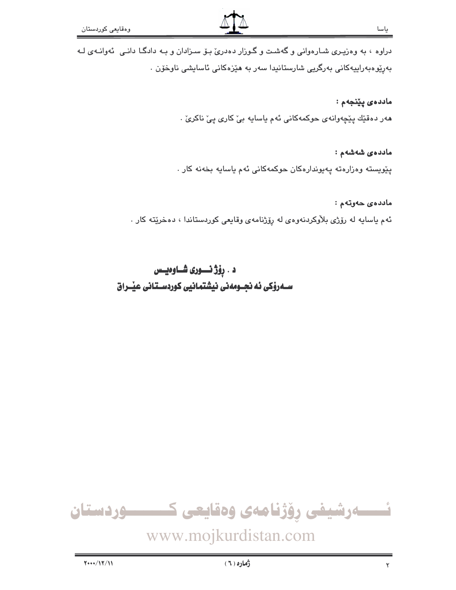دراوه ، به وهزیری شـارهوانی و گهشـت و گـوزار دهدریّ بـوّ سـزادان و بـه دادگـا دانـی ئهوانـهی لـه بەرپوەبەراپيەكانى بەرگريى شارستانيدا سەر بە ھێزەكانى ئاسايشى ناوخۆن .

ماددەي يێنجەم :

هەر دەقێك پێچەوانەي حوكمەكانى ئەم ياسايە بىٚ كارى پىٚ ناكرىٰ .

ماددەي شەشەم :

يێويسته وهزارهته پهيوندارهكان حوكمهكانى ئهم ياسايه بخهنه كار

ماددەى خەرتەم : ئهم ياسايه له رۆژى بلاوكردنهوهى له رۆژنامهى وقايعى كوردستاندا ، دەخرێته كار .

## د . رِوْژْ نَــــوری شـــاوەيــس ســهروْکی ئه نجــومهنی نیشتمـانیی کوردســتـانی عیـّــراق

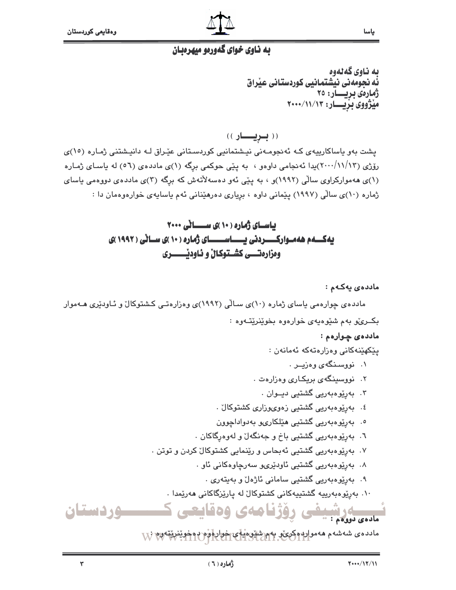

#### يه ناوي خواي گهوريو ميهرويان

ىە ناوي گەنەوە ئُه نجومهني نيشتمانيي كوردستاني عيْراق ژمارەى بريسار: ٢٥ میژووی بزیسار: ۲۰۰۰/۱۱/۱۳

((بريسار))

یشت بهو یاساکارییهی که ئه نجومهنی نیشتمانیی کوردستانی عیّراق له دانیشتنی ژماره (١٥)ی رۆژى (١٢/١/١٣)يدا ئەنجامى داوەو ، بە يێى حوكمى برگە (١)ى ماددەى (٥٦) لە ياساى ژمارە (۱)ی هه موارکراوی سالی (۱۹۹۲)و ، به پیّی ئه و دهسهلاٌتهش که برگه (۳)ی ماددهی دووهمی یاسای ژماره (١٠)ى سالّى (١٩٩٧) يێمانى داوه ، بريارى دەرھێنانى ئەم ياسايەي خوارەوەمان دا :

### باسای ژماره (۱۰)ی ســانی ۲۰۰۰ یه کسهم هه موارکسسردنی یسساسسسای ژماره ( ۱۰ )ی سیانی ( ۱۹۹۲ )ی ومزارهتـــي كشــتوكـالّ و ئـاودنيــــــــري

ماددەي يەكـەم :

مادده ی چوارهمی باسای ژماره (۱۰)ی سـالّی (۱۹۹۲)ی وهزارهتـی کـشتوکال ّو ئـاودبری هـهموار بکــری،ّو بهم شَيْوهيهي خوارهوه بخوينريتـهوه :

#### ماددەي چوارەم :

يێػۿێنەكانى وەزارەتەكە ئەمانەن :

- ۰۱ نووسنگهی وهزیـر .
- ۰۲ نووسینگهی بریکاری وهزارهت .
	- ۳. بەريوەبەريى گشتيى ديــوان .
- ٤. بەرێوەبەرىي گشتىي زەوىھرزارى كشتوكالْ .
- ٥. بەريوەبەريى گشتيى ھێلكارى، بەدواداچوون
- ٦. بەرێوەبەريى گشتيى باخ و جەنگەل ٘و لەوەرگاكان .
- ۰۷ بهرێوهبەریی گشتیی ئەبحاس و رێنمایی کشتوکال کردن و توتن .
	- ٨. بەرێوەبەريى گشتيى ئاودێرى وسەرچاوەكانى ئاو .
		- ۹. بەريوەبەريى گشتيى سامانى ئاژەل و بەيتەرى .
	- ۱۰. بەرێوەبەرىيە گشتىيەكانى كشتوكال لە يارێزگاكانى ھەرێمدا . مددی درشیدفس روژنا مهی وهقایعی ک

مادده *ی* شەشەم ھەمواردوك*ېيى* پەر شىيى مىلى خواردونوم بەخوينى تەرىخ A

 $\mathbf{Y}$ 

<u>مردستان</u>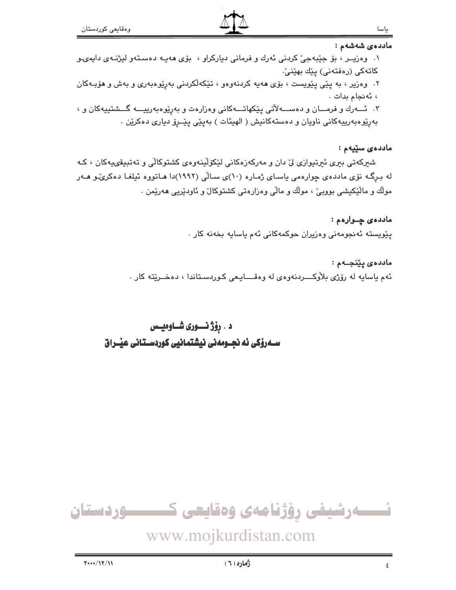ماددەي سێپەم :

ماددەي شەشەم : ١. وهزيــر ، بق جێبهجيّ كردنى ئهرك و فرمانى دياركراو ، بۆى هەيـه دەسـتەو ليژنـهى دايمىو كاتەكى (رەفتەنى) يێك بهێنىٚ. ۲. وەزیر ، بە پێی پێویست ، بۆی ھەیە کردنەوەو ، تێکەلکردنی بەرێوەبەری و بەش و ھۆبـەکان ، ئەنجام بدات . ۳. ئـــــــــورك و فرمـــــان و دهســــــهلاتي پێكهاتـــــهكاني وهزارهت و بهرێوهبهرپيــــه گـــشتييهكان و ، بهريوه بهرييه کاني ناويان و دهستهکانيش ( الهيئات ) بهپێي پێــرو دياري دهکرێن .

شیرکەتی بیری ئیرتیوازی لیٰ دان و مەرکەزەکانی لێکۆلێنەوەی کشتوکالی و تەتبیقىيەکان ، کـه له برگـه نۆی ماددهی چوارهمی باسـای ژمـاره (۱۰)ی سـالّی (۱۹۹۲)دا هـاتووه ئیلغـا دهکریٌـو هــهر مولك و مالَّيْكيشي بووبيٍّ ، مولَّك و مالِّي وەزارەتى كشتوكالٌ و ئاودێريى ھەرێمن .

> ماددهي چـوارهم : پێویسته ئەنجومەنی وەزیران حوکمەکانی ئەم یاسایە بخەنە کار .

ماددەي يێنجــەم : ئهم ياسايه له رۆژى بلاوكـــــــردنهوەي له وەقـــــــايــعى كــوردســتاندا ، دەخـــرێتـه كار .

د . رۆژ نـــوری شــاوەيــس سـەرۆكى ئە نجــومەنى نيشتمانيى كوردسـتانى عيْــراق

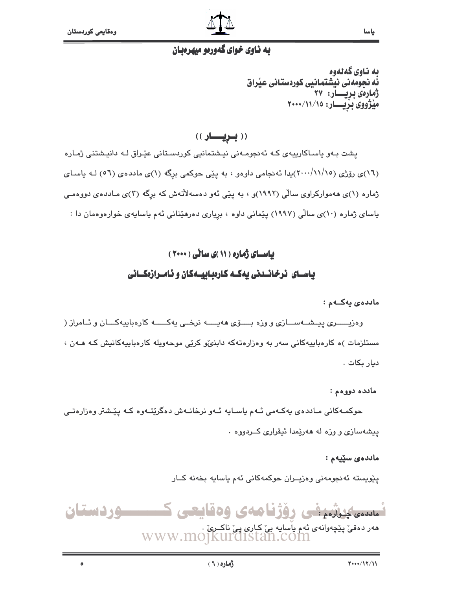$\delta$ 



#### به ناوي خواي گهورمو ميهرمبان

ىە ناوي گەنەوە ئُه نجومهني نيشتمانيي كوردستاني عيْراق ژمارەى بريسار: ۲۷ میژووی بزیــار: ١٥/١١/١٠٠٠

((بريال))

یشت بـهو یاسـاکاریپهی کـه ئهنجومـهنی نیـشتمانیی کوردسـتانی عیّـراق لـه دانیـشتنی ژمـاره (١٦)ی رۆژی (١٧/١٥/١٠٠)يدا ئەنجامی داوەو ، به يێی حوکمی برگه (١)ی ماددەی (٥٦) لـه ياسـای ژماره (۱)ی ههموارکراوی سالّی (۱۹۹۲)و ، به پێی ئهو دهسهلاٌتهش که برگه (۳)ی مـاددهی دووهمـی پاسای ژماره (۱۰)ی سالّی (۱۹۹۷) پێمانی داوه ، بریاری دهرهێنانی ئهم پاسایهی خوارهوهمان دا :

#### بیاسای ژماره ( ۱۱ )ی سالّی ( ۲۰۰۰)

#### باسـای نرخانـدنی بهکـه کارهباییـهکان و نامـرازهکـانی

ماددەي يەكــەم :

وهزيـــــــرى پيــشـــهســــازى و وزه بــــــۆى ههيــــــه نرخــى يهكـــــــه كارهباييهكــــان و ئــامراز ( مستلزمات )ه کارهباییهکانی سهر به وهزارهتهکه دابنهی کریی موجهویله کارهباییهکانیش کـه هـهن ، ديار بكات .

مادده دووهم :

حوکمـهکانی مـاددهى پهکـهمی ئـهم پاسـايه ئـهو نرخانـهش دهگرێتـهوه کـه پێـشتر وهزارهتـی ييشهسازي و وزه له ههريمدا ئيقراري كـردووه .

ماددەي سۆيەم :

پێويسته ئەنجومەنى وەزپــران حوكمەكانى ئەم ياسايە بخەنە كــار

تسسیکوشیفی روژنامەی وەقايعی ک ــــوردستان هەر دەقى پێچەوانەي ئەم يأسايە بى كارى بى ناكىرى .<br>WWW.MOJKUrdIStan.COM

ياسا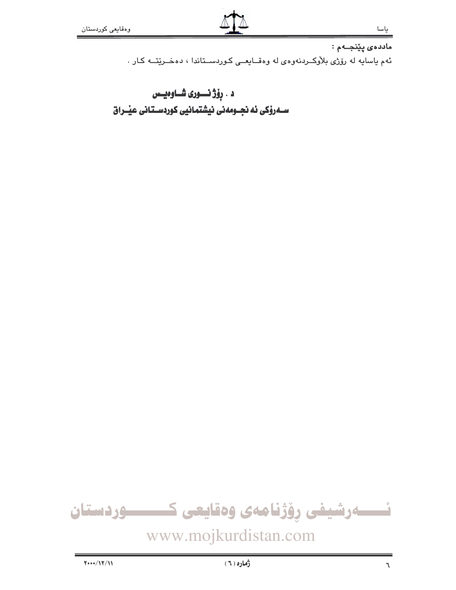ماددەى پێنجــەم : ئهم ياسايه له رۆژى بلاّوكــردنهوهى له وهقــايعــى كـوردســتاندا ، دهخــريّتــه كـار .

د . رِوْژْ نَــــوری شــاوهیــس 

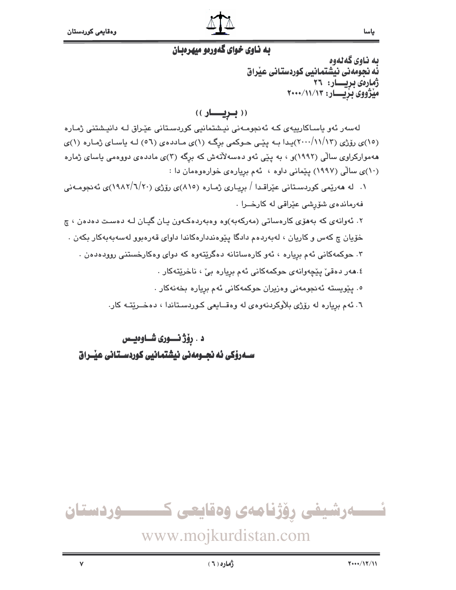

#### به ناوي خواي گهورمو ميهرمبان

ىە ناوي گەنەوە ئُه نحومهنی نیشتماننی کوردستانی عنّراق ژمارەى بريسار: ٢٦ میژووی بزیسار: ۲۰۰۰/۱۱/۱۳

ياسا

((بويار)

لەسەر ئەو ياسـاكارىييەى كـە ئەنجومـەنى نيـشتمانيى كوردسـتانى عێـراق كـە دانيـشتنى ژمـارە (۱۵)ی روّژی (۱۲/۱۲/۱۳)پیدا بـه ییّمی حـوکمی برگـه (۱)ی مـاددهی (۵٦) لـه یاسـای ژمـاره (۱)ی ههموارکراوی سالی (۱۹۹۲)و ، به بیّی ئهو دهسهلاٌتهش که برگه (۳)ی ماددهی دووهمی باسای ژماره (١٠)ی سالی (١٩٩٧) پیمانی داوه ، ئهم بریارهی خوارهوهمان دا :

۱. له هەرێمی کوردسـتانی عێراقـدا / بریـاری ژمـاره (۸۱۰)ی رۆژی (۲۰/ /۱۹۸۲)ی ئەنجومـەنی فەرماندەي شۆرشى عێراقى لە كارخــرا .

۲. ئەوانەي كە بەھۆي كارەساتى (مەركەبە)وە وەبەردەكـەون يـان گيـان لـە دەست دەدەن ، چ خۆيان چ کەس و کاريان ، لەبەردەم دادگا يێوەنددارەکاندا داواي قەرەبوو لەسەبەبەکار بکەن . ۰۳ حوکمهکانی ئهم بړیاره ، ئهو کارهساتانه دهگرێتهوه که دوای وهکارخستنی روودهدهن . ٤.هەر دەقى پێچەوانەي حوكمەكانى ئەم بريارە بى ، ناخرێتەكار .

- ٥. يێويسته ئەنجومەنى وەزيران حوكمەكانى ئەم بريارە بخەنەكار .
- ٦. ئهم برياره له رۆژى بلاّوكردنهوهى له وهقــايعى كـوردسـتاندا ، دهخــريتـه كار.

د . رؤژ نسوری شــاوهیـس 



## www.mojkurdistan.com

 $\mathbf{v}$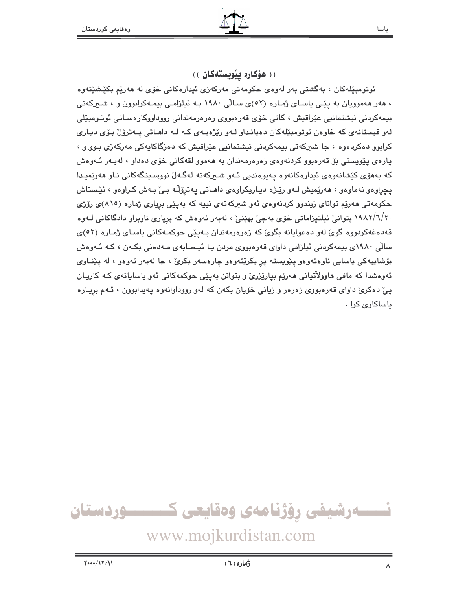(( هۆكاره ييويستەكان ))

ئوتومبێلەکان ، بەگشتى بەر لەوەي حکومەتى مەرکەزى ئىدارەکانى خۆى لە ھەرێم بکێشێتەوە ، هەر ھەموويان بە يێے ياسـاى ژمـارە (٥٢)ى سـاڵى ١٩٨٠ بـه ئيلزامـى بيمـەكرابوون و ، شـىركەتى بیمەكردنى نیشتمانیى عێراقیش ، كاتى خۆى قەرەبووى زەرەرمەندانى رووداووكارەسـاتى ئوتـومبێلى لەو قیستانەي كە خاوەن ئوتومېێلەكان دەيانداو لـەو رێژەپـەي كـە لـە داھـاتى پـەترۆل بـۆي ديـارى کرابوو دهکردهوه ، جا شیرکهتی بیمهکردنی نیشتمانیی عیّراقیش که دهزگاکایهکی مهرکهزی بـوو و ، يارەي يێويستى بۆ قەرەبوو كردنەوەي زەرەرمەندان بە ھەموو لقەكانى خۆي دەداو ، لەبەر ئـەوەش که بههۆی کێشانەوەی ئیدارەکانەوە پەيوەندیی ئەو شىركەتە لەگەلْ نووسىينگەكانى ناو ھەرێمیدا يچراوهو نهماوهو ، هەرێمیش لـهو رێـژه دیـاریکراوهی داهـاتی پهترۆڵـه بـیٚ بـهش کـراوهو ، ئێـستاش حکومهتی ههریم توانای زیندوو کردنهوهی ئهو شیرکهتهی نیپه که بهینی بریاری ژماره (۸۱۰)ی رۆژی ۲۰/ ۱۹۸۲/ بتوانیؒ ئیلتیزاماتی خوّی بهجیؒ بهپُنیؒ ، لهبهر ئهوهش که بریاری ناوبراو دادگاکانی لـهوه قەدەغەكردووە گوئ لەو دەعوايانە بگرئ كە زەرەرمەندان بەينى حوكمـەكانى ياسـاى ژمـارە (٥٢)ى سالّی ۱۹۸۰ی بیمهکردنی ئیلزامی داوای قەرەبووی مردن یا ئیـصابەی مـەدەنی بکـەن ، کـه ئـەوەش بۆشاپيەكى ياسايى ناوەتەوەو پێويستە پر بكرێتەوەو چارەسەر بكرىؒ ، جا لەبەر ئەوەو ، لە پێنـاوى ئەوەشدا كە مافى ھاوولاتيانى ھەريم بياريزرى و بتوانن بەييى حوكمەكانى ئەو ياسايانەي كـە كاريـان پیّ دهکریّ داوای قهرهبووی زهرهر و زیانی خوّیان بکهن که لهو رووداوانهوه پهیدابوون ، ئـهم برِیاره باساكارى كرا .

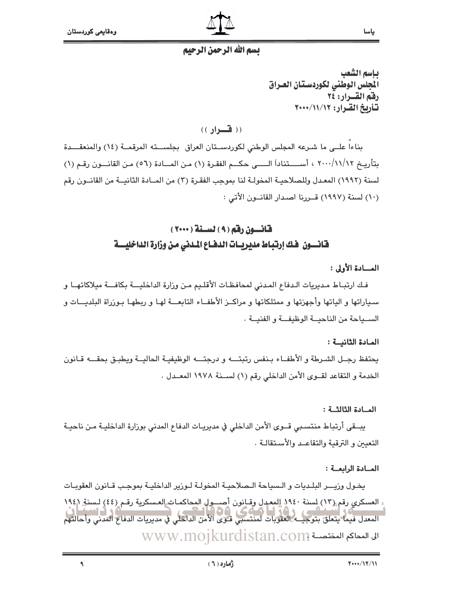

#### بسم الله الرحمن الرحيم

يباسم الشعب المجلس الوطني لكوردستان العراق رفق القرار: ٢٤ تشاريخ القيرار: ١٢/١١/١٠٠٠

ياسا

 $($ ( فسواد ))

بناءاً علــى ما شـرعه المجلس الوطنى لكوردسـتان العراق بجلســته المرقمــة (١٤) والمنعقـــدة بتأريخ ٢٠٠٠/١١/١٢ ، أســــتناداً الـــــى حكـــم الفقـرة (١) مـن المـــادة (٥٦) مـن القانـــون رقـم (١) لسنة (١٩٩٢) المعـدل وللصلاحيـة المخولـة لنا بموجب الفقـرة (٣) من المــادة الثانيــة من القانــون رقم (١٠) لسنة (١٩٩٧) قــررنا اصدار القانــون الأتي :

### قانسون رقم ( ۹ ) لسنة ( ۲۰۰۰ ) فانسون خك إرتباط مديريـات الدفـاع المدنى من وزارة الداخليـــة

#### المسادة الأولى :

فك ارتبـاط مـديريات الـدفاع المـدني لمحافظـات الأقلـيم مـن وزارة الداخليـــة بكافـــة ميلاكاتهــا و سياراتها و الياتها وأجهزتها و ممتلكاتها و مراكــز الأطفــاء التابعـــة لهـا و ربطهـا بـوزراة البلديـــات و الســياحة من الناحيــة الوظيفــة و الفنيــة .

#### المادة الثانية:

يحتفظ رجـل الشـرطة و الأطفــاء بـنفس رتبتــــه و درجتـــه الوظيفيـة الحاليــة ويطبـق بحقـــه قــانون الخدمة و التقاعد لقـوى الأمن الداخلي رقم (١) لسـنة ١٩٧٨ المعـدل .

#### المادة الثالثة:

يبــقي أرتباط منتسـبي قــوى الأمن الداخلي في مديريـات الدفاع المدني بوزارة الداخليـة مـن ناحيـة التعيين و الترقية والتقاعـد والأسـتقالـة .

#### المادة الرابعة:

يخـول وزيـــر البلـديات و الـسياحة الـصلاحيـة المخولـة لـوزير الداخليـة بموجـب قـانون العقوبـات ء العسكري رقم (١٣) لسنة ١٩٤٠ إلمعدل وقيانون أصب ولي المحاكمات العسكرية رقم (٤٤) لسنة ١٩٤/ المعدل فيما يتعلق بتوجيــه العقوبات لمنتسبى قـوى الأمن الداخلي في مديريات الدفاع المدني وأحالتهم الى المحاكم المختصسة www.mojkurdistan.com

 $\blacktriangleleft$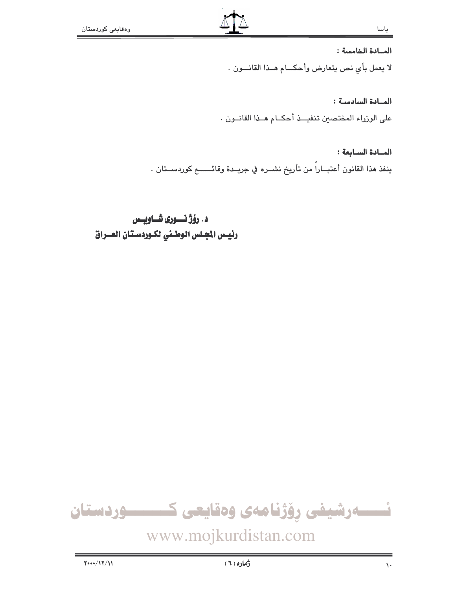المادة الخامسة:

لا يعمل بأي نص يتعارض وأحكــام هــذا القانـــون .

المادة السادسة: على الوزراء المختصين تنفيــذ أحكــام هــذا القانــون .

المادة السابعة: ينفذ هذا القانون أعتبــاراً من تأريخ نشــره في جريــدة وقائـــــــع كوردســتان .

د. رۆژ نسورى شــاويــس رئيس الجلس الوطني لكوردستان العـراق

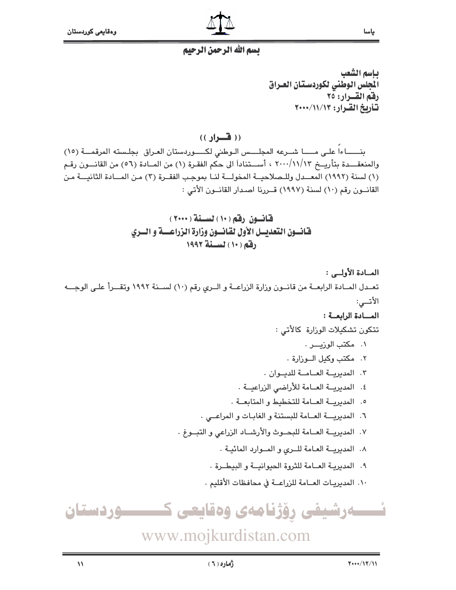

#### بسم الله الرحمن الرحيم

يباسم الشعب المجلس الوطني لكوردستان العراق رفقم القسرار: ٢٥ تأريخ القرار: ١١/١١/١٣+٢

 $((\mathbf{L}_{\mathbf{L}})$ 

بنساءا على مسا شرعه المجلس الوطنى لكسوردستان العراق بجلسته المرقمة (١٥) والمنعقـــدة بتأريـــخ ٢٠٠٠/١١/١٣ ، أســـتناداً الى حكم الفقـرة (١) من المــادة (٥٦) من القانـــون رقـم (١) لسنة (١٩٩٢) المعــدل وللـصلاحيــة المخولــة لنـا بموجب الفقـرة (٣) مـن المــادة الثانيـــة مـن القانسون رقم (١٠) لسنة (١٩٩٧) قسررنا اصدار القانسون الأتي :

> قانون رقم (١٠) لسنة (٢٠٠٠) فانسون التعديسل الأول لقانسون وزارة الزراعسة و السرى دفقه (١٠) لسنة ١٩٩٢

المادة الأولى: تعــدل المــادة الرابعــة من قانــون وزارة الزراعــة و الــرى رقم (١٠) لســنة ١٩٩٢ وتقـــرأ علـى الوجـــه الأتسى: المادة الرابعة: تتكون تشكيلات الوزارة كالأتى : ۰۱ مكتب الوزيـــر . ٢. مكتب وكيل البوزارة ٠ ٣. المدبريــة العــامــة للدبـوان . ٤. المديريــة العــامة للأراضى الزراعيــة . ٥. المديرية العبامة للتخطيط والمتابعية . ٦. المديرية العامة للبستنة و الغابات و المراعـى . ٧. المديريــة العــامة للبحــوث والأرشــاد الزراعى و التبــوغ . ٨. المديرية العامة للهى والموارد المائية. ٩. المديريـة العـامة للثروة الحيوانيـة و البيطـرة . ١٠. المديريـات العــامة للزراعــة في محافظات الأقليم . ئــــــەرشيفى رۆژنامەى وەقايعى كـــــــــوردستان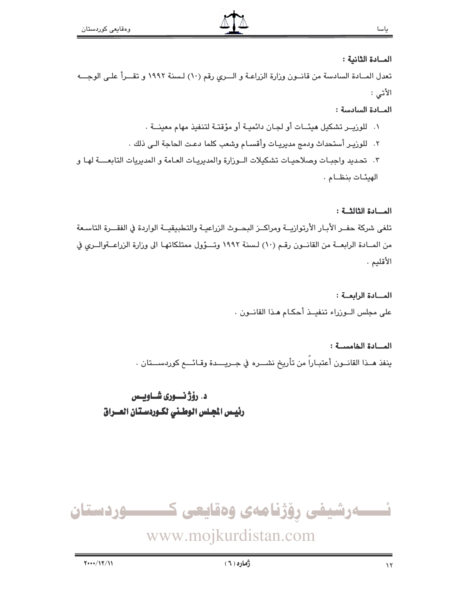#### المادة الثانية :

تعدل المـادة السادسة من قانـون وزارة الزراعـة و الــري رقم (١٠) لـسنة ١٩٩٢ و تقــرأ علـى الوجــه الأتى :

#### المادة السادسة:

المسادة الثالثة:

١. للوزيـر تشكيل هيئــات أو لجـان دائميـة أو مؤقتـة لتنفيذ مهام معينــة . ٢. للوزيـر أستحداث ودمج مدبريـات وأقسـام وشعب كلما دعـت الحاجة الـي ذلك . ٣. اتحديد واجبـات وصلاحيـات تشكيلات الــوزارة والمديريـات العـامة و المديريات التابعــــة لهـا و الهيئات بنظام .

تلغى شركة حفـر الأبـار الأرتوازيــة ومراكــز البحــوث الزراعيـة والتطبيقيــة الواردة في الفقـــرة التاسـعة من المـادة الرابعــة من القانــون رقـم (١٠) لـسنة ١٩٩٢ وتـــؤول ممتلكاتهـا الى وزارة الزراعــةوالــرى في الأقليم .

> المسادة الرابعة: على مجلس الوزراء تنفيـذ أحكـام هـذا القانـون .

المسادة الخامسية: ينفذ هـذا القانـون أعتبـارا من تأريخ نشــره في جـريـــدة وقـائـــع كوردســـتان .

د. رؤژ نسوری شــاویس رئيس الجلس الوطنى لكوردستان العـراق



## www.mojkurdistan.com

ياسا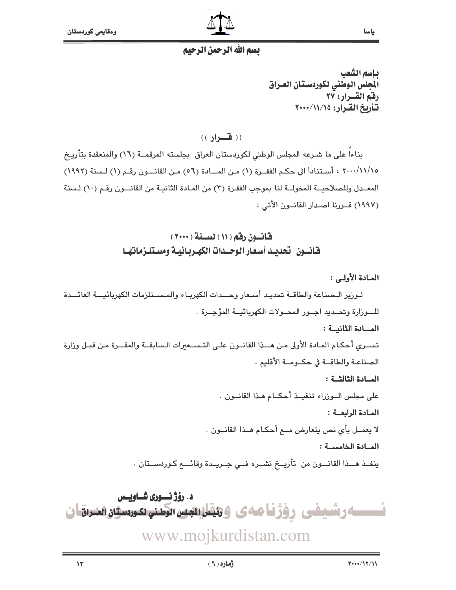

#### بسم الله الرحمن الرحيم

يباسم الشعب المجلس الوطني لكوردستان العراق رفق القرار: ٢٧ تأريخ القرار: ١٥/١١/١٠٠٠

 $($ ( فسواد ))

بناءا على ما شـرعه المجلس الوطنى لكوردستان العراق بجلسته المرقمــة (١٦) والمنعقدة بتأريـخ ١/١/١/١٥، ٢٠٠٠/١١] الى حكم الفقــرة (١) مـن المــادة (٥٦) مـن القانـــون رقـم (١) لـسنة (١٩٩٢) المعــدل وللصلاحيــة المخولــة لنا بموجب الفقـرة (٣) من المـادة الثانيـة من القانـــون رقـم (١٠) لـسنة (١٩٩٧) قسرينا اصدار القانسون الأتي :

> قانسون رقم ( ١١ ) لسنة ( ٢٠٠٠ ) فانسون تحديد أسعار الوحسدات الكهريائيية ومستلزماتها

> > المادة الأولى :

لـورير الـصناعة والطاقــة تحديـد أسـعار وحــدات الكهربـاء والمـســتلزمات الكهريائيـــة العائـــدة للسورارة وتحبديد احبور المحبولات الكهربائيية المؤجيرة . المسادة الثانية: تسبري أحكام المبادة الأولى من هبذا القانبون على التسبعبرات السابقية والمقبرة من قبيل وزارة الصناعة والطاقية في حكيومية الأقليم . المادة الثالثة: على مجلس الــوزراء تنفيــذ أحكــام هـذا القانــون . المادة الرابعـة: لا يعمــل بأي نص يتعارض مــع أحكـام هــذا القانــون . المادة الخامسة: ينفــذ هـــذا القانـــون من تأريـــخ نشــره فــى جــريــدة وقائــــع كـوردســتان .

د. رؤژ نسوری شــاویسس ـه رشيفى رؤژناههى وهقان ا<del>تب</del>س الطنيعيوسي المنزاقان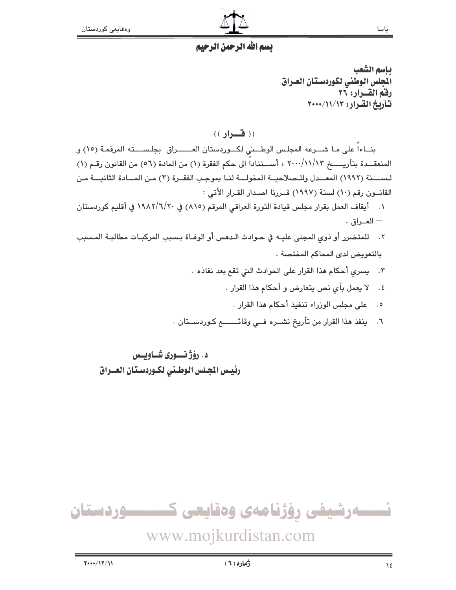

#### يسم الله الرحمن الرحيم

بإسم الشعب الجلس الوطني لكوردستان العراق رفق القرار: ٢٦ تأريخ القرار: ١٢/١١/١٢+٢٠٠٠

 $($ ( فسواد ))

بنــاءاً على مـا شـــرعه المجلـس الوطـــني لكـــوردستان العـــــــراق بجلـســــته المرقمـة (١٥) و المنعقــدة بتأريـــــــخ ٢٠٠٠/١١/١٣ ، أســـتناداً الى حكم الفقرة (١) من المادة (٥٦) من القانون رقـم (١) لـســــنة (١٩٩٢) المعـــدل وللـصلاحيــة المخولـــة لنــا بموجب الفقــرة (٣) مـن المـــادة الثانيـــة مـن القانون رقم (١٠) لسنة (١٩٩٧) قصررنا اصدار القرار الأتي :

- ١. أيقاف العمل بقرار مجلس قيادة الثورة العراقي المرقم (٨١٥) في ١٩٨٢/٦/٢٠ في أقليم كوردستان  $-$  العــراق  $-$
- ٢. للمتضرر أو ذوي المجنى عليـه في حـوادث الـدهس أو الوفـاة بـسبب المركبـات مطالبـة المـسبب بالتعويض لدى المحاكم المختصة .
	- ٣. يسري أحكام هذا القرار على الحوادث التي تقم بعد نفاذه .
		- ٤. لا يعمل بأى نص يتعارض و أحكام هذا القرار .
			- ٥. على مجلس الوزراء تنفيذ أحكام هذا القرار .
	- ٦. ينفذ هذا القرار من تأريخ نشــره فــى وقائــــــــع كـوردســتان .

د. رۆژنسورى شــاوبــس رئيس الجلس الوطني لكوردستان العـراق

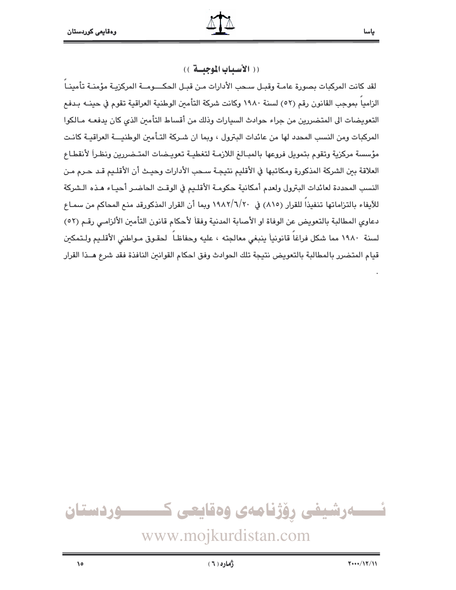(( الأسياب الموجيسة ))

لقد كانت المركبات بصورة عامـة وقبـل سـحب الأدارات مـن قبـل الحكـــومــة المركزيـة مؤمنـة تأمينـا الزاميا بموجب القانون رقم (٥٢) لسنة ١٩٨٠ وكانت شركة التأمين الوطنية العراقية تقوم في حينــه بـدفـع التعويضات الى المتضررين من جراء حوادث السيارات وذلك من أقساط التأمين الذي كان يدفعـه مـالكوا المركبات ومن النسب المحدد لها من عائدات البترول ، وبما ان شـركة التـأمين الوطنيـــة العراقيــة كانـت مؤسسة مركزية وتقوم بتمويل فروعها بالمبالغ اللازمـة لتغطيـة تعويـضات المتـضررين ونظـراً لأنقطـاع العلاقة بين الشركة المذكورة ومكاتبها في الأقليم نتيجـة سـحب الأدارات وحيـث أن الأقلـيم قـد حـرم مـن النسب المحددة لعائدات البترول ولعدم أمكانية حكومة الأقليم في الوقت الحاضر أحيـاء هـذه الـشركة للآيفاء بالتزاماتها تنفيذاً للقرار (٨١٥) في ١٩٨٢/٦/٢٠ وبما أن القرار المذكورقد منع المحاكم من سمـاع دعاوى المطالبة بالتعويض عن الوفاة او الأصابة المدنية وفقاً لأحكام قانون التأمين الألزامي رقم (٥٢) لسنة ١٩٨٠ مما شكل فراغاً قانونياً ينبغي معالجته ، عليه وحفاظاً لحقوق مـواطني الأقلـيم ولـتمكين قيام المتضرر بالمطالبة بالتعويض نتيجة تلك الحوادث وفق احكام القوانين النافذة فقد شرع هــذا القرار

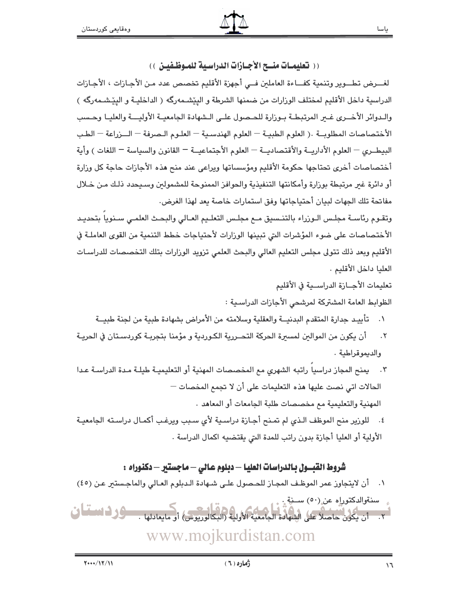(( تعليمــات منـــح الأجــازات الدراسـية للمــوظـفيــن ))

لغـــرض تطـــوير وتنمية كفـــاءة العاملين فـــى أجهزة الأقليم تخصص عدد مـن الأجــازات ، الأجــازات الدراسية داخل الأقليم لمختلف الوزارات من ضمنها الشرطة و البِيّشـمەرگە ( الداخليـة و البِيّشـمەرگە ) والـدوائر الأخــرى غــر المرتبطــة بـوزارة للحـصول علــى الـشهادة الجامعيــة الأوليــــة والعليــا وحـسب الأختصاصات المطلوبــة .( العلوم الطبيــة — العلوم الهندسـية — العلـوم الـصرفة — الـــزراعة — الطـب البيطـري — العلوم الأداريــة والأقتصاديــة — العلوم الأجتماعيــة — القانون والسياسة — اللغات ) وأية أختصاصات أخرى تحتاجها حكومة الأقليم ومؤسساتها ويراعى عند منح هذه الأجازات حاجة كل وزارة أو دائرة غبر مرتبطة بوزارة وأمكانتها التنفيذية والحوافز الممنوحة للمشمولين وسـيحدد ذلـك مـن خـلال مفاتحة تلك الجهات لبيان أحتياجاتها وفق استمارات خاصة بعد لهذا الغرض.

وتقـوم رئاسـة مجلـس الـورراء بالتنـسيق مـع مجلـس التعلـيم العـالى والبحـث العلمـى سـنويا بتحديـد الأختصاصات على ضوء المؤشرات التي تبينها الوزارات لأحتياجات خطط التنمية من القوى العاملـة في الأقليم وبعد ذلك تتولى مجلس التعليم العالى والبحث العلمى تزويد الوزارات بتلك التخصصات للدراسـات العليا داخل الأقليم .

> تعليمات الأجــازة الدراســية في الأقليم الظوابط العامة المشتركة لمرشحي الأجازات الدراسية :

- ١. تأييـد جدارة المتقدم البدنيــة والعقلية وسلامته من الأمراض بشهادة طبية من لجنة طبيــة
- أن يكون من الموالين لمسيرة الحركة التحــررية الكـوردية و مؤمنا بتجريـة كوردسـتان في الحريـة  $\cdot$   $\mathsf{r}$ والديموقراطية.
- ٢. يمنح المجاز دراسيا راتبه الشهري مع المخصصات المهنية أو التعليميـة طيلـة مـدة الدراسـة عـدا الحالات اتى نصت عليها هذه التعليمات على أن لا تجمع المخصات —

المهنية والتعليمية مم مخصصات طلبة الجامعات أو المعاهد .

٤. للورير منح الموظف الـذي لم تمـنح أجـازة دراسـية لأي سـبب ويرغـب أكمـال دراسـته الجامعيـة الأولية أو العليا أجازة بدون راتب للمدة التي يقتضيه اكمال الدراسة .

### شروط القبــول بـالدراسات العليـا – دبلوم عـالى – ماجستير – دكنوراه :

١. أن لايتجاوز عمر الموظف المجاز للحـصول علـى شـهادة الـدبلوم العـالي والماجـستير عـن (٤٥) سنةوالدكتوراه عن (٥٠) ســنةِ. .<br>1. أن يكون حاضلاً على الشهادة الجامعية الأولية (البكالوريوس) أو مايعادلها . مسؤول النساس في www.mojkurdistan.com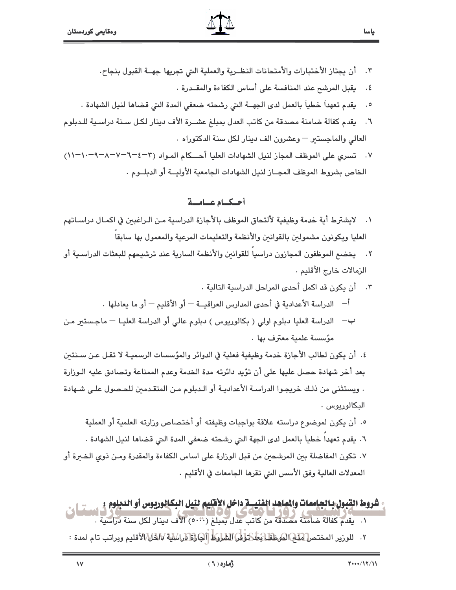- أن يجتاز الأختبارات والأمتحانات النظــرية والعملية التي تجريها جهـــة القبول بنجاح.  $\cdot$   $\mathsf{r}$ 
	- يقبل المرشح عند المنافسة على أساس الكفاءة والمقــدرة .  $\cdot$  5

ياسا

- ٥. يقدم تعهداً خطياً بالعمل لدى الجهــة التي رشحته ضعفي المدة التي قضاها لنيل الشهادة .
- ٦. يقدم كفالة ضامنة مصدقة من كاتب العدل بمبلغ عشــرة الأف دينار لكـل سـنة دراسـية للـدبلوم العالي والماجستير – وعشرون الف دينار لكل سنة الدكتوراه .
- ٧. تسرى على الموظف المجاز لنيل الشهادات العليا أحكام المـواد (٣-٤-٦-٧-٨-٩-١٠١٠) الخاص بشروط الموظف المجــاز لنيل الشهادات الجامعية الأوليــة أو الدبلــوم .

#### أحكيام عيامية

- ١. لايشترط أية خدمة وظيفية لألتحاق الموظف بالأجازة الدراسية مـن الـراغبـن في اكمـال دراسـاتهم العليا ويكونون مشمولين بالقوانين والأنظمة والتعليمات المرعية والمعمول بها سابقاً
- ٢. يخضع الموظفون المجازون دراسياً للقوانين والأنظمة السارية عند ترشيحهم للبعثات الدراسـية أو الزمالات خارج الأقليم .
	- ٣. أن يكون قد اكمل أحدى المراحل الدراسية التالية .
	- <sup>أ</sup>— الدراسة الأعدادية في أحدى المدارس العراقيــة أو الأقليم أو ما يعادلها .
- ب— الدراسة العليا دبلوم اولى ( بكالوريوس ) دبلوم عالى أو الدراسة العليـا ماجـستير مـن مؤسسة علمية معترف بها .

٤. أن يكون لطالب الأجازة خدمة وظيفية فعلية في الدوائر والمؤسسات الرسميـة لا تقـل عـن سـنتـن بعد أخر شهادة حصل عليها على أن تؤيد دائرته مدة الخدمة وعدم الممناعة وتصادق عليه الـوزارة . ويستثني من ذلك خريجوا الدراسة الأعدادية أو الـدبلوم مـن المتقـدمين للحـصول علـى شـهادة البكالوريوس .

٥. أن يكون لموضوع دراسته علاقة بواجبات وظيفته أو أختصاص وزارته العلمية أو العملية ٦. يقدم تعهداً خطياً بالعمل لدى الجهة التي رشحته ضعفي المدة التي قضاها لنيل الشهادة .

٧. تكون المفاضلة بين المرشحين من قبل الوزارة على اساس الكفاءة والمقدرة ومـن ذوى الخـبرة أو المعدلات العالية وفق الأسس التي تقرها الجامعات في الأقليم .

# شروط القبول بالجامعات والعاهد الفنيسة داخل الأقليم لنيل البكالوريوس أو الديلوم : مستشلى

- ١. يقدم كفالة ضامنة مصدقة من كاتب عدل بمبلغ (٥٠٠٠) الأف دينار لكل سنة دراسية .
- ٢. للوزير المختص لغلها لهوظف اعطار السلام السلوط [آلها العالم العالم الخالم الأقليم وبراتب تام لمدة :